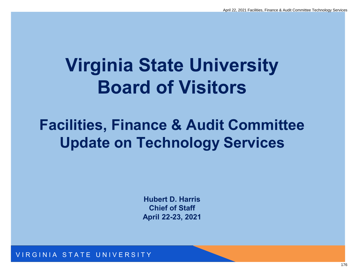## **Virginia State University Board of Visitors**

### **Facilities, Finance & Audit Committee Update on Technology Services**

**Hubert D. Harris Chief of Staff April 22-23, 2021**

VIRGINIA STATE UNIVERSITY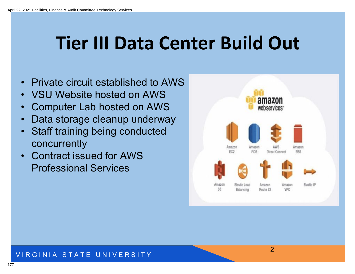### **Tier III Data Center Build Out**

- Private circuit established to AWS
- VSU Website hosted on AWS
- Computer Lab hosted on AWS
- Data storage cleanup underway
- Staff training being conducted concurrently
- Contract issued for AWS Professional Services



2

#### VIRGINIA STATE UNIVERSITY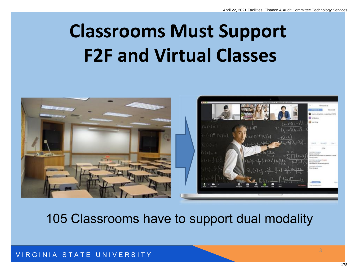## **Classrooms Must Support F2F and Virtual Classes**



105 Classrooms have to support dual modality

VIRGINIA STATE UNIVERSITY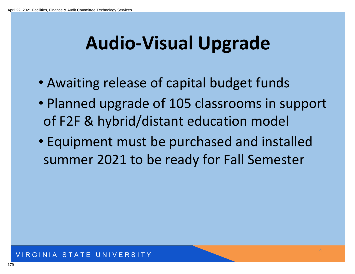## **Audio-Visual Upgrade**

- Awaiting release of capital budget funds
- Planned upgrade of 105 classrooms in support of F2F & hybrid/distant education model
- Equipment must be purchased and installed summer 2021 to be ready for Fall Semester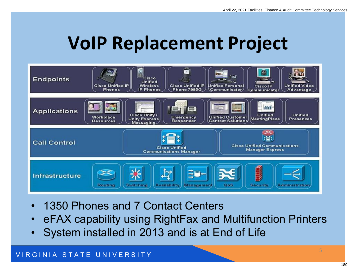### **VoIP Replacement Project**



- 1350 Phones and 7 Contact Centers
- eFAX capability using RightFax and Multifunction Printers
- System installed in 2013 and is at End of Life

#### VIRGINIA STATE UNIVERSITY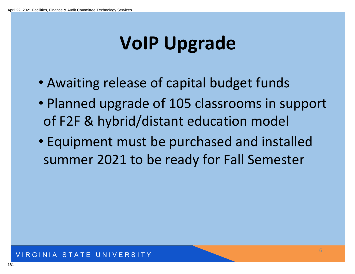## **VoIP Upgrade**

- Awaiting release of capital budget funds
- Planned upgrade of 105 classrooms in support of F2F & hybrid/distant education model
- Equipment must be purchased and installed summer 2021 to be ready for Fall Semester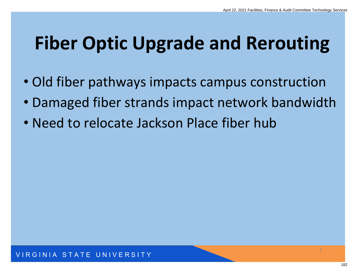## **Fiber Optic Upgrade and Rerouting**

- Old fiber pathways impacts campus construction
- Damaged fiber strands impact network bandwidth
- Need to relocate Jackson Place fiber hub